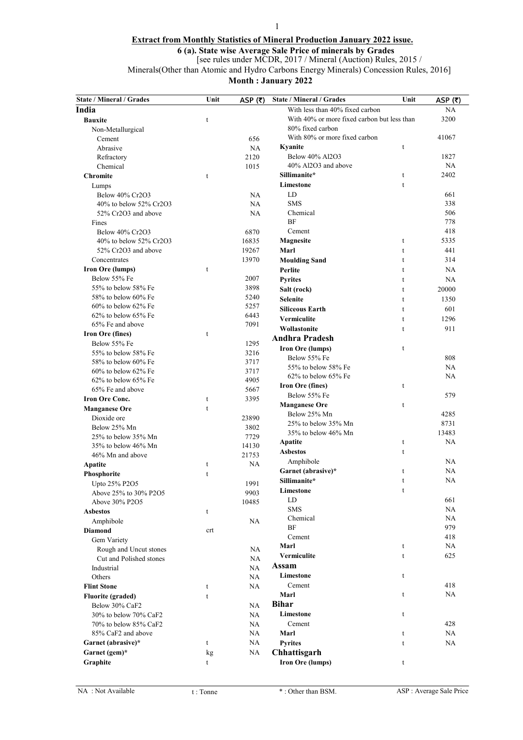# 1 Extract from Monthly Statistics of Mineral Production January 2022 issue.

6 (a). State wise Average Sale Price of minerals by Grades

[see rules under MCDR, 2017 / Mineral (Auction) Rules, 2015 /

Minerals(Other than Atomic and Hydro Carbons Energy Minerals) Concession Rules, 2016]

| <b>State / Mineral / Grades</b>            | Unit        | ASP $(₹)$     | <b>State / Mineral / Grades</b>             | Unit        | ASP $(5)$ |
|--------------------------------------------|-------------|---------------|---------------------------------------------|-------------|-----------|
| India                                      |             |               | With less than 40% fixed carbon             |             | NA        |
| <b>Bauxite</b>                             | t           |               | With 40% or more fixed carbon but less than |             | 3200      |
| Non-Metallurgical                          |             |               | 80% fixed carbon                            |             |           |
| Cement                                     |             | 656           | With 80% or more fixed carbon               |             | 41067     |
| Abrasive                                   |             | <b>NA</b>     | Kyanite                                     | t           |           |
| Refractory                                 |             | 2120          | Below 40% Al2O3                             |             | 1827      |
| Chemical                                   |             | 1015          | 40% Al2O3 and above                         |             | NA        |
| <b>Chromite</b>                            | t           |               | Sillimanite*                                | t           | 2402      |
| Lumps                                      |             |               | Limestone                                   | t           |           |
| Below 40% Cr2O3                            |             | <b>NA</b>     | LD                                          |             | 661       |
| 40% to below 52% Cr2O3                     |             | <b>NA</b>     | <b>SMS</b>                                  |             | 338       |
| 52% Cr2O3 and above                        |             | <b>NA</b>     | Chemical                                    |             | 506       |
| Fines                                      |             |               | BF                                          |             | 778       |
| Below 40% Cr2O3                            |             | 6870          | Cement                                      |             | 418       |
| 40% to below 52% Cr2O3                     |             | 16835         | Magnesite                                   | $\mathbf t$ | 5335      |
| 52% Cr2O3 and above                        |             | 19267         | Marl                                        | t           | 441       |
| Concentrates                               |             | 13970         | <b>Moulding Sand</b>                        | t           | 314       |
| <b>Iron Ore (lumps)</b>                    | t           |               | Perlite                                     | t           | NA        |
| Below 55% Fe                               |             | 2007          | <b>Pyrites</b>                              | t           | <b>NA</b> |
| 55% to below 58% Fe                        |             | 3898          | Salt (rock)                                 | t           | 20000     |
| 58% to below 60% Fe                        |             | 5240          | <b>Selenite</b>                             | t           | 1350      |
| $60\%$ to below $62\%$ Fe                  |             | 5257          | <b>Siliceous Earth</b>                      | t           | 601       |
| $62\%$ to below $65\%$ Fe                  |             | 6443          | Vermiculite                                 | t           | 1296      |
| 65% Fe and above                           |             | 7091          | Wollastonite                                | t           | 911       |
| Iron Ore (fines)                           | t           |               | <b>Andhra Pradesh</b>                       |             |           |
| Below 55% Fe                               |             | 1295          | <b>Iron Ore (lumps)</b>                     | t           |           |
| 55% to below 58% Fe                        |             | 3216          | Below 55% Fe                                |             | 808       |
| 58% to below 60% Fe                        |             | 3717          | 55% to below 58% Fe                         |             | NA        |
| $60\%$ to below $62\%$ Fe                  |             | 3717          | 62% to below 65% Fe                         |             | NA        |
| $62\%$ to below $65\%$ Fe                  |             | 4905          | <b>Iron Ore (fines)</b>                     | t           |           |
| 65% Fe and above<br><b>Iron Ore Conc.</b>  | t           | 5667<br>3395  | Below 55% Fe                                |             | 579       |
|                                            |             |               | <b>Manganese Ore</b>                        | t           |           |
| <b>Manganese Ore</b>                       | $\mathbf t$ |               | Below 25% Mn                                |             | 4285      |
| Dioxide ore                                |             | 23890         | 25% to below 35% Mn                         |             | 8731      |
| Below 25% Mn                               |             | 3802          | 35% to below 46% Mn                         |             | 13483     |
| 25% to below 35% Mn<br>35% to below 46% Mn |             | 7729<br>14130 | Apatite                                     | t           | <b>NA</b> |
| 46% Mn and above                           |             | 21753         | <b>Asbestos</b>                             | t           |           |
|                                            | t           | NA            | Amphibole                                   |             | <b>NA</b> |
| Apatite                                    | t           |               | Garnet (abrasive)*                          | t           | <b>NA</b> |
| <b>Phosphorite</b>                         |             | 1991          | Sillimanite*                                | t           | NA        |
| Upto 25% P2O5<br>Above 25% to 30% P2O5     |             | 9903          | Limestone                                   | t           |           |
| Above 30% P2O5                             |             | 10485         | LD                                          |             | 661       |
| <b>Asbestos</b>                            | t           |               | <b>SMS</b>                                  |             | <b>NA</b> |
| Amphibole                                  |             | NA            | Chemical                                    |             | <b>NA</b> |
| <b>Diamond</b>                             | crt         |               | BF                                          |             | 979       |
| Gem Variety                                |             |               | Cement                                      |             | 418       |
| Rough and Uncut stones                     |             | NA            | Marl                                        | t           | NA        |
| Cut and Polished stones                    |             | <b>NA</b>     | Vermiculite                                 | $\mathbf t$ | 625       |
| Industrial                                 |             | NA            | Assam                                       |             |           |
| Others                                     |             | NA            | Limestone                                   | t           |           |
| <b>Flint Stone</b>                         | t           | NA            | Cement                                      |             | 418       |
| <b>Fluorite</b> (graded)                   | t           |               | Marl                                        | t           | NA        |
| Below 30% CaF2                             |             | NA            | <b>Bihar</b>                                |             |           |
| 30% to below 70% CaF2                      |             | <b>NA</b>     | Limestone                                   | t           |           |
| 70% to below 85% CaF2                      |             | <b>NA</b>     | Cement                                      |             | 428       |
| 85% CaF2 and above                         |             | NA            | Marl                                        | t           | NA.       |
| Garnet (abrasive)*                         | t           | NA            | <b>Pyrites</b>                              | t           | NA        |
| Garnet (gem)*                              | kg          | NA            | Chhattisgarh                                |             |           |
| Graphite                                   | t           |               | <b>Iron Ore (lumps)</b>                     |             |           |
|                                            |             |               |                                             | t           |           |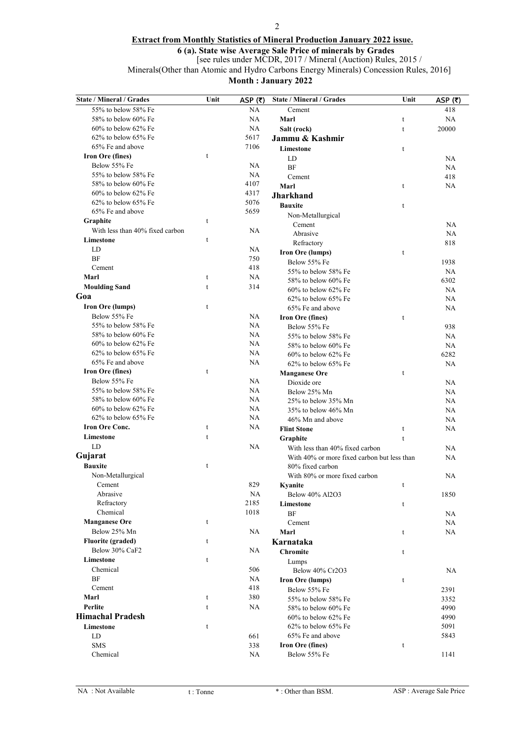### 2

## Extract from Monthly Statistics of Mineral Production January 2022 issue.

6 (a). State wise Average Sale Price of minerals by Grades

[see rules under MCDR, 2017 / Mineral (Auction) Rules, 2015 /

Minerals(Other than Atomic and Hydro Carbons Energy Minerals) Concession Rules, 2016]

| <b>State / Mineral / Grades</b> | Unit        | ASP $(5)$ | State / Mineral / Grades                    | Unit         | ASP $(5)$ |
|---------------------------------|-------------|-----------|---------------------------------------------|--------------|-----------|
| 55% to below 58% Fe             |             | NA        | Cement                                      |              | 418       |
| 58% to below 60% Fe             |             | <b>NA</b> | Marl                                        | t            | NA        |
| $60\%$ to below $62\%$ Fe       |             | <b>NA</b> | Salt (rock)                                 | $\mathsf{t}$ | 20000     |
| 62% to below 65% Fe             |             | 5617      | Jammu & Kashmir                             |              |           |
| 65% Fe and above                |             | 7106      | Limestone                                   | t            |           |
| <b>Iron Ore (fines)</b>         | t           |           | LD                                          |              | <b>NA</b> |
| Below 55% Fe                    |             | <b>NA</b> | <b>BF</b>                                   |              | NA        |
| 55% to below 58% Fe             |             | <b>NA</b> | Cement                                      |              | 418       |
| 58% to below 60% Fe             |             | 4107      | Marl                                        | t            | NA        |
| $60\%$ to below $62\%$ Fe       |             | 4317      | <b>Jharkhand</b>                            |              |           |
| $62\%$ to below $65\%$ Fe       |             | 5076      | <b>Bauxite</b>                              | $\mathsf{t}$ |           |
| 65% Fe and above                |             | 5659      | Non-Metallurgical                           |              |           |
| Graphite                        | t           |           | Cement                                      |              | <b>NA</b> |
| With less than 40% fixed carbon |             | <b>NA</b> | Abrasive                                    |              | <b>NA</b> |
| Limestone                       | $\mathsf t$ |           | Refractory                                  |              | 818       |
| LD                              |             | <b>NA</b> | Iron Ore (lumps)                            | t            |           |
| <b>BF</b>                       |             | 750       | Below 55% Fe                                |              | 1938      |
| Cement                          |             | 418       | 55% to below 58% Fe                         |              | NA        |
| Marl                            | t           | <b>NA</b> | 58% to below 60% Fe                         |              | 6302      |
| <b>Moulding Sand</b>            | t           | 314       | $60\%$ to below $62\%$ Fe                   |              | <b>NA</b> |
| Goa                             |             |           | $62\%$ to below $65\%$ Fe                   |              | NA        |
| <b>Iron Ore (lumps)</b>         | t           |           | 65% Fe and above                            |              | NA        |
| Below 55% Fe                    |             | <b>NA</b> | Iron Ore (fines)                            | t            |           |
| 55% to below 58% Fe             |             | NA        | Below 55% Fe                                |              | 938       |
| 58% to below 60% Fe             |             | <b>NA</b> | 55% to below 58% Fe                         |              | NA        |
| $60\%$ to below $62\%$ Fe       |             | NA        | 58% to below 60% Fe                         |              | NA        |
| $62\%$ to below $65\%$ Fe       |             | <b>NA</b> | 60% to below 62% Fe                         |              | 6282      |
| 65% Fe and above                |             | <b>NA</b> | 62% to below 65% Fe                         |              | NA        |
| Iron Ore (fines)                | $\mathbf t$ |           | <b>Manganese Ore</b>                        | t            |           |
| Below 55% Fe                    |             | NA        | Dioxide ore                                 |              | NA        |
| 55% to below 58% Fe             |             | <b>NA</b> | Below 25% Mn                                |              | NA        |
| 58% to below 60% Fe             |             | <b>NA</b> | 25% to below 35% Mn                         |              | NA        |
| 60% to below 62% Fe             |             | <b>NA</b> | 35% to below 46% Mn                         |              | NA        |
| 62% to below 65% Fe             |             | <b>NA</b> | 46% Mn and above                            |              | NA        |
| <b>Iron Ore Conc.</b>           | t           | NA        | <b>Flint Stone</b>                          | t            | NA        |
| Limestone                       | $\mathbf t$ |           | Graphite                                    | $\mathsf t$  |           |
| LD                              |             | NA        | With less than 40% fixed carbon             |              | NA        |
| Gujarat                         |             |           | With 40% or more fixed carbon but less than |              | NA        |
| <b>Bauxite</b>                  | t           |           | 80% fixed carbon                            |              |           |
| Non-Metallurgical               |             |           | With 80% or more fixed carbon               |              | NA        |
| Cement                          |             | 829       | Kvanite                                     | t            |           |
| Abrasive                        |             | NA        | Below 40% Al2O3                             |              | 1850      |
| Refractory                      |             | 2185      | Limestone                                   | t            |           |
| Chemical                        |             | 1018      | <b>BF</b>                                   |              | NA        |
| <b>Manganese Ore</b>            | t           |           | Cement                                      |              | NA        |
| Below 25% Mn                    |             | <b>NA</b> | Marl                                        | t            | NA        |
| <b>Fluorite (graded)</b>        | t           |           | Karnataka                                   |              |           |
| Below 30% CaF2                  |             | NA        | <b>Chromite</b>                             | t            |           |
| Limestone                       | t           |           | Lumps                                       |              |           |
| Chemical                        |             | 506       | Below 40% Cr2O3                             |              | NA        |
| BF                              |             | NA        | <b>Iron Ore (lumps)</b>                     | t            |           |
| Cement                          |             | 418       | Below 55% Fe                                |              | 2391      |
| Marl                            | t           | 380       | 55% to below 58% Fe                         |              | 3352      |
| Perlite                         | t           | NA.       | 58% to below 60% Fe                         |              | 4990      |
| <b>Himachal Pradesh</b>         |             |           | $60\%$ to below $62\%$ Fe                   |              | 4990      |
| Limestone                       | t           |           | 62% to below 65% Fe                         |              | 5091      |
| LD                              |             | 661       | 65% Fe and above                            |              | 5843      |
| <b>SMS</b>                      |             | 338       | <b>Iron Ore (fines)</b>                     | t            |           |
| Chemical                        |             | NA.       | Below 55% Fe                                |              | 1141      |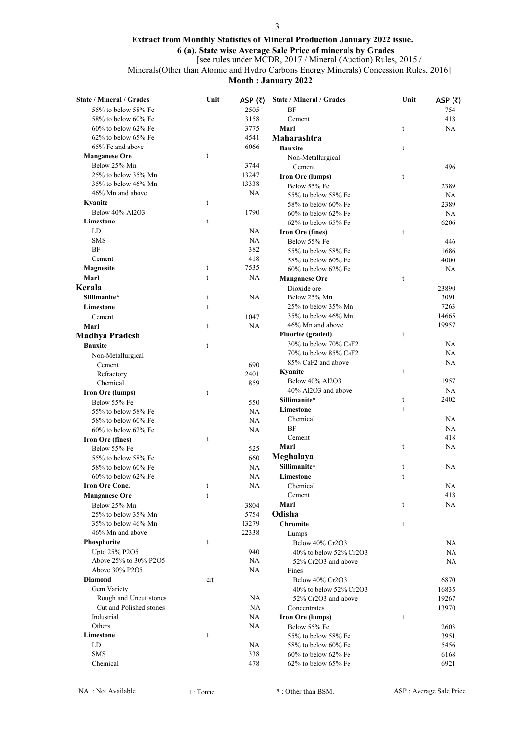### 3

## Extract from Monthly Statistics of Mineral Production January 2022 issue.

6 (a). State wise Average Sale Price of minerals by Grades

[see rules under MCDR, 2017 / Mineral (Auction) Rules, 2015 /

Minerals(Other than Atomic and Hydro Carbons Energy Minerals) Concession Rules, 2016]

| <b>State / Mineral / Grades</b> | Unit        | ASP $(5)$ | <b>State / Mineral / Grades</b> | Unit        | ASP $(5)$ |
|---------------------------------|-------------|-----------|---------------------------------|-------------|-----------|
| 55% to below 58% Fe             |             | 2505      | BF                              |             | 754       |
| 58% to below 60% Fe             |             | 3158      | Cement                          |             | 418       |
| $60\%$ to below $62\%$ Fe       |             | 3775      | Marl                            | t           | NA        |
| 62% to below 65% Fe             |             | 4541      | Maharashtra                     |             |           |
| 65% Fe and above                |             | 6066      | <b>Bauxite</b>                  | t           |           |
| <b>Manganese Ore</b>            | t           |           | Non-Metallurgical               |             |           |
| Below 25% Mn                    |             | 3744      | Cement                          |             | 496       |
| 25% to below 35% Mn             |             | 13247     | Iron Ore (lumps)                | t           |           |
| 35% to below 46% Mn             |             | 13338     | Below 55% Fe                    |             | 2389      |
| 46% Mn and above                |             | NA        | 55% to below 58% Fe             |             | NA        |
| Kyanite                         | $\mathbf t$ |           | 58% to below 60% Fe             |             | 2389      |
| Below 40% Al2O3                 |             | 1790      | $60\%$ to below $62\%$ Fe       |             | NA        |
| Limestone                       | $\mathbf t$ |           | 62% to below 65% Fe             |             | 6206      |
| LD                              |             | <b>NA</b> | Iron Ore (fines)                | t           |           |
| <b>SMS</b>                      |             | <b>NA</b> | Below 55% Fe                    |             | 446       |
| BF                              |             | 382       | 55% to below 58% Fe             |             | 1686      |
| Cement                          |             | 418       | 58% to below 60% Fe             |             | 4000      |
| Magnesite                       | t           | 7535      | $60\%$ to below $62\%$ Fe       |             | NA        |
| Marl                            | $\mathbf t$ | NA        | <b>Manganese Ore</b>            | t           |           |
| Kerala                          |             |           | Dioxide ore                     |             | 23890     |
| Sillimanite*                    | $\mathbf t$ | NA        | Below 25% Mn                    |             | 3091      |
| Limestone                       | $\mathbf t$ |           | 25% to below 35% Mn             |             | 7263      |
| Cement                          |             | 1047      | 35% to below 46% Mn             |             | 14665     |
| Marl                            | t           | <b>NA</b> | 46% Mn and above                |             | 19957     |
| <b>Madhya Pradesh</b>           |             |           | <b>Fluorite (graded)</b>        | t           |           |
| <b>Bauxite</b>                  | t           |           | 30% to below 70% CaF2           |             | NA        |
| Non-Metallurgical               |             |           | 70% to below 85% CaF2           |             | NA        |
| Cement                          |             | 690       | 85% CaF2 and above              |             | <b>NA</b> |
| Refractory                      |             | 2401      | Kyanite                         | t           |           |
| Chemical                        |             | 859       | Below 40% Al2O3                 |             | 1957      |
| <b>Iron Ore (lumps)</b>         | $\mathbf t$ |           | 40% Al2O3 and above             |             | NA        |
| Below 55% Fe                    |             | 550       | Sillimanite*                    | t           | 2402      |
| 55% to below 58% Fe             |             | <b>NA</b> | Limestone                       | $\mathbf t$ |           |
| 58% to below 60% Fe             |             | <b>NA</b> | Chemical                        |             | <b>NA</b> |
| 60% to below 62% Fe             |             | <b>NA</b> | BF                              |             | <b>NA</b> |
| Iron Ore (fines)                | t           |           | Cement                          |             | 418       |
| Below 55% Fe                    |             | 525       | Marl                            | t           | NA        |
| 55% to below 58% Fe             |             | 660       | Meghalaya                       |             |           |
| 58% to below 60% Fe             |             | NA        | Sillimanite*                    | t           | NA        |
| $60\%$ to below $62\%$ Fe       |             | <b>NA</b> | Limestone                       | t           |           |
| <b>Iron Ore Conc.</b>           | t           | NA        | Chemical                        |             | NA        |
| <b>Manganese Ore</b>            | t           |           | Cement                          |             | 418       |
| Below 25% Mn                    |             | 3804      | Marl                            | t           | NA        |
| 25% to below 35% Mn             |             | 5754      | Odisha                          |             |           |
| 35% to below 46% Mn             |             | 13279     | <b>Chromite</b>                 | t           |           |
| 46% Mn and above                |             | 22338     | Lumps                           |             |           |
| Phosphorite                     | t           |           | Below 40% Cr2O3                 |             | NA        |
| Upto 25% P2O5                   |             | 940       | 40% to below 52% Cr2O3          |             | NA        |
| Above 25% to 30% P2O5           |             | <b>NA</b> | 52% Cr2O3 and above             |             | NA        |
| Above 30% P2O5                  |             | <b>NA</b> | Fines                           |             |           |
| <b>Diamond</b>                  | crt         |           | Below 40% Cr2O3                 |             | 6870      |
| Gem Variety                     |             |           | 40% to below 52% Cr2O3          |             | 16835     |
| Rough and Uncut stones          |             | NA        | 52% Cr2O3 and above             |             | 19267     |
| Cut and Polished stones         |             | NA        | Concentrates                    |             | 13970     |
| Industrial                      |             | NA        | <b>Iron Ore (lumps)</b>         | t           |           |
| Others                          |             | <b>NA</b> | Below 55% Fe                    |             | 2603      |
| Limestone                       | t           |           | 55% to below 58% Fe             |             | 3951      |
| LD                              |             | NA        | 58% to below 60% Fe             |             | 5456      |
| <b>SMS</b>                      |             | 338       | $60\%$ to below $62\%$ Fe       |             | 6168      |
| Chemical                        |             | 478       | $62\%$ to below $65\%$ Fe       |             | 6921      |